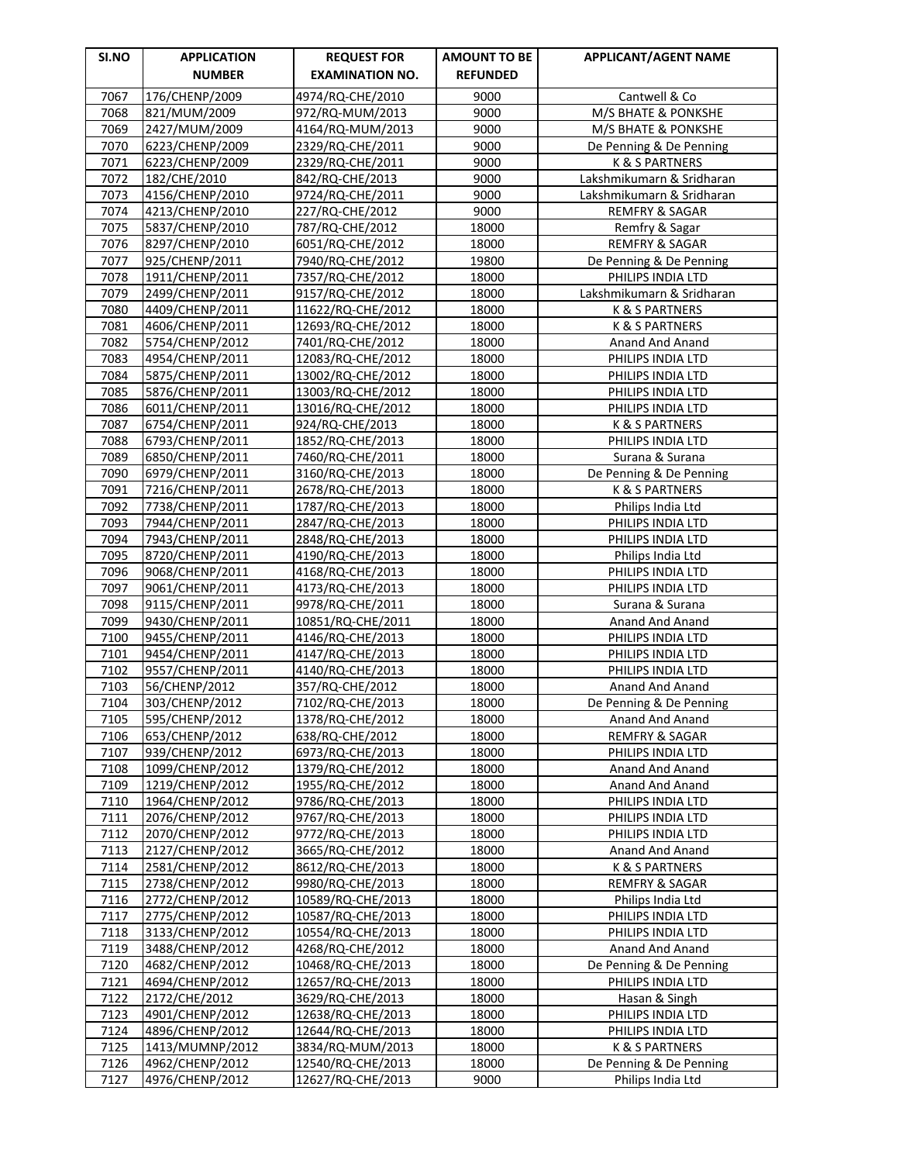| <b>SI.NO</b> | <b>APPLICATION</b>                 | <b>REQUEST FOR</b>                     | <b>AMOUNT TO BE</b> | <b>APPLICANT/AGENT NAME</b>                |
|--------------|------------------------------------|----------------------------------------|---------------------|--------------------------------------------|
|              | <b>NUMBER</b>                      | <b>EXAMINATION NO.</b>                 | <b>REFUNDED</b>     |                                            |
| 7067         | 176/CHENP/2009                     | 4974/RQ-CHE/2010                       | 9000                | Cantwell & Co                              |
| 7068         | 821/MUM/2009                       | 972/RQ-MUM/2013                        | 9000                | M/S BHATE & PONKSHE                        |
| 7069         | 2427/MUM/2009                      | 4164/RQ-MUM/2013                       | 9000                | M/S BHATE & PONKSHE                        |
| 7070         | 6223/CHENP/2009                    | 2329/RQ-CHE/2011                       | 9000                | De Penning & De Penning                    |
| 7071         | 6223/CHENP/2009                    | 2329/RQ-CHE/2011                       | 9000                | K & S PARTNERS                             |
| 7072         | 182/CHE/2010                       | 842/RQ-CHE/2013                        | 9000                | Lakshmikumarn & Sridharan                  |
| 7073         | 4156/CHENP/2010                    | 9724/RQ-CHE/2011                       | 9000                | Lakshmikumarn & Sridharan                  |
| 7074         | 4213/CHENP/2010                    | 227/RQ-CHE/2012                        | 9000                | <b>REMFRY &amp; SAGAR</b>                  |
| 7075         | 5837/CHENP/2010                    | 787/RQ-CHE/2012                        | 18000               | Remfry & Sagar                             |
| 7076         | 8297/CHENP/2010                    | 6051/RQ-CHE/2012                       | 18000               | <b>REMFRY &amp; SAGAR</b>                  |
| 7077         | 925/CHENP/2011                     | 7940/RQ-CHE/2012                       | 19800               | De Penning & De Penning                    |
| 7078         | 1911/CHENP/2011                    | 7357/RQ-CHE/2012                       | 18000               | PHILIPS INDIA LTD                          |
| 7079         | 2499/CHENP/2011                    | 9157/RQ-CHE/2012                       | 18000               | Lakshmikumarn & Sridharan                  |
| 7080         | 4409/CHENP/2011                    | 11622/RQ-CHE/2012                      | 18000               | K & S PARTNERS                             |
| 7081         | 4606/CHENP/2011                    | 12693/RQ-CHE/2012                      | 18000               | K & S PARTNERS                             |
| 7082         | 5754/CHENP/2012                    | 7401/RQ-CHE/2012                       | 18000               | Anand And Anand                            |
| 7083         | 4954/CHENP/2011                    | 12083/RQ-CHE/2012                      | 18000               | PHILIPS INDIA LTD                          |
| 7084<br>7085 | 5875/CHENP/2011<br>5876/CHENP/2011 | 13002/RQ-CHE/2012<br>13003/RQ-CHE/2012 | 18000<br>18000      | PHILIPS INDIA LTD<br>PHILIPS INDIA LTD     |
| 7086         | 6011/CHENP/2011                    | 13016/RQ-CHE/2012                      | 18000               | PHILIPS INDIA LTD                          |
| 7087         | 6754/CHENP/2011                    | 924/RQ-CHE/2013                        | 18000               | K & S PARTNERS                             |
| 7088         | 6793/CHENP/2011                    | 1852/RQ-CHE/2013                       | 18000               | PHILIPS INDIA LTD                          |
| 7089         | 6850/CHENP/2011                    | 7460/RQ-CHE/2011                       | 18000               | Surana & Surana                            |
| 7090         | 6979/CHENP/2011                    | 3160/RQ-CHE/2013                       | 18000               | De Penning & De Penning                    |
| 7091         | 7216/CHENP/2011                    | 2678/RQ-CHE/2013                       | 18000               | K & S PARTNERS                             |
| 7092         | 7738/CHENP/2011                    | 1787/RQ-CHE/2013                       | 18000               | Philips India Ltd                          |
| 7093         | 7944/CHENP/2011                    | 2847/RQ-CHE/2013                       | 18000               | PHILIPS INDIA LTD                          |
| 7094         | 7943/CHENP/2011                    | 2848/RQ-CHE/2013                       | 18000               | PHILIPS INDIA LTD                          |
| 7095         | 8720/CHENP/2011                    | 4190/RQ-CHE/2013                       | 18000               | Philips India Ltd                          |
| 7096         | 9068/CHENP/2011                    | 4168/RQ-CHE/2013                       | 18000               | PHILIPS INDIA LTD                          |
| 7097         | 9061/CHENP/2011                    | 4173/RQ-CHE/2013                       | 18000               | PHILIPS INDIA LTD                          |
| 7098         | 9115/CHENP/2011                    | 9978/RQ-CHE/2011                       | 18000               | Surana & Surana                            |
| 7099         | 9430/CHENP/2011                    | 10851/RQ-CHE/2011                      | 18000               | Anand And Anand                            |
| 7100         | 9455/CHENP/2011                    | 4146/RQ-CHE/2013                       | 18000               | PHILIPS INDIA LTD                          |
| 7101         | 9454/CHENP/2011                    | 4147/RQ-CHE/2013                       | 18000               | PHILIPS INDIA LTD                          |
| 7102<br>7103 | 9557/CHENP/2011                    | 4140/RQ-CHE/2013                       | 18000<br>18000      | PHILIPS INDIA LTD                          |
|              | 56/CHENP/2012                      | 357/RQ-CHE/2012                        | 18000               | Anand And Anand                            |
| 7104<br>7105 | 303/CHENP/2012<br>595/CHENP/2012   | 7102/RQ-CHE/2013<br>1378/RQ-CHE/2012   | 18000               | De Penning & De Penning<br>Anand And Anand |
| 7106         | 653/CHENP/2012                     | 638/RQ-CHE/2012                        | 18000               | <b>REMFRY &amp; SAGAR</b>                  |
| 7107         | 939/CHENP/2012                     | 6973/RQ-CHE/2013                       | 18000               | PHILIPS INDIA LTD                          |
| 7108         | 1099/CHENP/2012                    | 1379/RQ-CHE/2012                       | 18000               | Anand And Anand                            |
| 7109         | 1219/CHENP/2012                    | 1955/RQ-CHE/2012                       | 18000               | Anand And Anand                            |
| 7110         | 1964/CHENP/2012                    | 9786/RQ-CHE/2013                       | 18000               | PHILIPS INDIA LTD                          |
| 7111         | 2076/CHENP/2012                    | 9767/RQ-CHE/2013                       | 18000               | PHILIPS INDIA LTD                          |
| 7112         | 2070/CHENP/2012                    | 9772/RQ-CHE/2013                       | 18000               | PHILIPS INDIA LTD                          |
| 7113         | 2127/CHENP/2012                    | 3665/RQ-CHE/2012                       | 18000               | Anand And Anand                            |
| 7114         | 2581/CHENP/2012                    | 8612/RQ-CHE/2013                       | 18000               | <b>K &amp; S PARTNERS</b>                  |
| 7115         | 2738/CHENP/2012                    | 9980/RQ-CHE/2013                       | 18000               | REMFRY & SAGAR                             |
| 7116         | 2772/CHENP/2012                    | 10589/RQ-CHE/2013                      | 18000               | Philips India Ltd                          |
| 7117         | 2775/CHENP/2012                    | 10587/RQ-CHE/2013                      | 18000               | PHILIPS INDIA LTD                          |
| 7118         | 3133/CHENP/2012                    | 10554/RQ-CHE/2013                      | 18000               | PHILIPS INDIA LTD                          |
| 7119         | 3488/CHENP/2012                    | 4268/RQ-CHE/2012                       | 18000               | Anand And Anand                            |
| 7120         | 4682/CHENP/2012                    | 10468/RQ-CHE/2013                      | 18000               | De Penning & De Penning                    |
| 7121         | 4694/CHENP/2012                    | 12657/RQ-CHE/2013                      | 18000               | PHILIPS INDIA LTD                          |
| 7122         | 2172/CHE/2012                      | 3629/RQ-CHE/2013                       | 18000               | Hasan & Singh                              |
| 7123<br>7124 | 4901/CHENP/2012                    | 12638/RQ-CHE/2013                      | 18000<br>18000      | PHILIPS INDIA LTD<br>PHILIPS INDIA LTD     |
| 7125         | 4896/CHENP/2012<br>1413/MUMNP/2012 | 12644/RQ-CHE/2013<br>3834/RQ-MUM/2013  | 18000               | K & S PARTNERS                             |
| 7126         | 4962/CHENP/2012                    | 12540/RQ-CHE/2013                      | 18000               | De Penning & De Penning                    |
| 7127         | 4976/CHENP/2012                    | 12627/RQ-CHE/2013                      | 9000                | Philips India Ltd                          |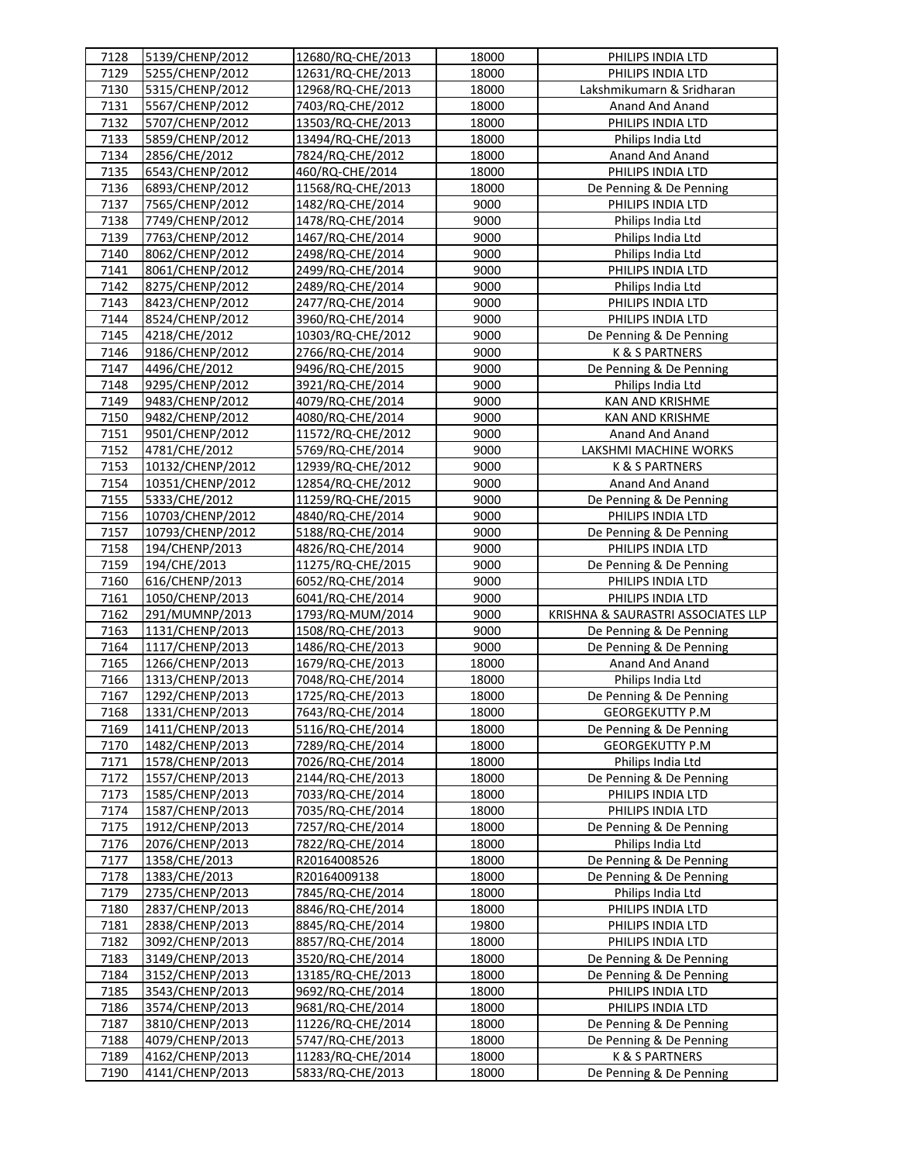| 7128         | 5139/CHENP/2012                    | 12680/RQ-CHE/2013                     | 18000          | PHILIPS INDIA LTD                         |
|--------------|------------------------------------|---------------------------------------|----------------|-------------------------------------------|
| 7129         | 5255/CHENP/2012                    | 12631/RQ-CHE/2013                     | 18000          | PHILIPS INDIA LTD                         |
| 7130         | 5315/CHENP/2012                    | 12968/RQ-CHE/2013                     | 18000          | Lakshmikumarn & Sridharan                 |
| 7131         | 5567/CHENP/2012                    | 7403/RQ-CHE/2012                      | 18000          | Anand And Anand                           |
| 7132         | 5707/CHENP/2012                    | 13503/RQ-CHE/2013                     | 18000          | PHILIPS INDIA LTD                         |
| 7133         | 5859/CHENP/2012                    | 13494/RQ-CHE/2013                     | 18000          | Philips India Ltd                         |
| 7134         | 2856/CHE/2012                      | 7824/RQ-CHE/2012                      | 18000          | Anand And Anand                           |
| 7135         | 6543/CHENP/2012                    | 460/RQ-CHE/2014                       | 18000          | PHILIPS INDIA LTD                         |
| 7136         | 6893/CHENP/2012                    | 11568/RQ-CHE/2013                     | 18000          | De Penning & De Penning                   |
| 7137         | 7565/CHENP/2012                    | 1482/RQ-CHE/2014                      | 9000           | PHILIPS INDIA LTD                         |
| 7138         | 7749/CHENP/2012                    | 1478/RQ-CHE/2014                      | 9000           | Philips India Ltd                         |
| 7139         | 7763/CHENP/2012                    | 1467/RQ-CHE/2014                      | 9000           | Philips India Ltd                         |
| 7140         | 8062/CHENP/2012                    | 2498/RQ-CHE/2014                      | 9000           | Philips India Ltd                         |
| 7141         | 8061/CHENP/2012                    | 2499/RQ-CHE/2014                      | 9000           | PHILIPS INDIA LTD                         |
| 7142         | 8275/CHENP/2012                    | 2489/RQ-CHE/2014                      | 9000           | Philips India Ltd                         |
| 7143         | 8423/CHENP/2012                    | 2477/RQ-CHE/2014                      | 9000           | PHILIPS INDIA LTD                         |
| 7144         | 8524/CHENP/2012                    | 3960/RQ-CHE/2014                      | 9000           | PHILIPS INDIA LTD                         |
| 7145         | 4218/CHE/2012                      | 10303/RQ-CHE/2012                     | 9000           | De Penning & De Penning                   |
| 7146         | 9186/CHENP/2012                    | 2766/RQ-CHE/2014                      | 9000           | K & S PARTNERS                            |
| 7147         | 4496/CHE/2012                      | 9496/RQ-CHE/2015                      | 9000           | De Penning & De Penning                   |
| 7148         | 9295/CHENP/2012                    | 3921/RQ-CHE/2014                      | 9000           | Philips India Ltd                         |
| 7149         | 9483/CHENP/2012                    | 4079/RQ-CHE/2014                      | 9000           | <b>KAN AND KRISHME</b>                    |
| 7150         | 9482/CHENP/2012                    | 4080/RQ-CHE/2014                      | 9000           | KAN AND KRISHME                           |
| 7151         | 9501/CHENP/2012                    | 11572/RQ-CHE/2012                     | 9000           | Anand And Anand                           |
| 7152         | 4781/CHE/2012                      | 5769/RQ-CHE/2014                      | 9000           | LAKSHMI MACHINE WORKS                     |
| 7153         | 10132/CHENP/2012                   | 12939/RQ-CHE/2012                     | 9000           | <b>K &amp; S PARTNERS</b>                 |
| 7154         | 10351/CHENP/2012                   | 12854/RQ-CHE/2012                     | 9000           | Anand And Anand                           |
| 7155         | 5333/CHE/2012                      | 11259/RQ-CHE/2015                     | 9000           | De Penning & De Penning                   |
| 7156         | 10703/CHENP/2012                   | 4840/RQ-CHE/2014                      | 9000           | PHILIPS INDIA LTD                         |
| 7157         | 10793/CHENP/2012                   | 5188/RQ-CHE/2014                      | 9000           | De Penning & De Penning                   |
| 7158         | 194/CHENP/2013                     | 4826/RQ-CHE/2014                      | 9000           | PHILIPS INDIA LTD                         |
| 7159         | 194/CHE/2013                       | 11275/RQ-CHE/2015                     | 9000           | De Penning & De Penning                   |
| 7160         | 616/CHENP/2013                     | 6052/RQ-CHE/2014                      | 9000           | PHILIPS INDIA LTD                         |
| 7161         | 1050/CHENP/2013                    | 6041/RQ-CHE/2014                      | 9000           | PHILIPS INDIA LTD                         |
| 7162         | 291/MUMNP/2013                     | 1793/RQ-MUM/2014                      | 9000           | KRISHNA & SAURASTRI ASSOCIATES LLP        |
| 7163         | 1131/CHENP/2013                    | 1508/RQ-CHE/2013                      | 9000           | De Penning & De Penning                   |
| 7164         | 1117/CHENP/2013                    | 1486/RQ-CHE/2013                      | 9000           | De Penning & De Penning                   |
| 7165         | 1266/CHENP/2013                    | 1679/RQ-CHE/2013                      | 18000          | Anand And Anand                           |
| 7166         | 1313/CHENP/2013                    | 7048/RQ-CHE/2014                      | 18000          | Philips India Ltd                         |
| 7167         | 1292/CHENP/2013                    | 1725/RQ-CHE/2013                      | 18000          | De Penning & De Penning                   |
| 7168         | 1331/CHENP/2013                    | 7643/RQ-CHE/2014                      | 18000          | GEORGEKUTTY P.M                           |
| 7169         | 1411/CHENP/2013                    | 5116/RQ-CHE/2014                      | 18000          | De Penning & De Penning                   |
| 7170         | 1482/CHENP/2013                    | 7289/RQ-CHE/2014                      | 18000          | <b>GEORGEKUTTY P.M</b>                    |
| 7171         | 1578/CHENP/2013                    | 7026/RQ-CHE/2014                      | 18000          | Philips India Ltd                         |
| 7172         | 1557/CHENP/2013                    | 2144/RQ-CHE/2013                      | 18000          | De Penning & De Penning                   |
| 7173         | 1585/CHENP/2013                    | 7033/RQ-CHE/2014                      | 18000          | PHILIPS INDIA LTD                         |
| 7174         | 1587/CHENP/2013                    | 7035/RQ-CHE/2014                      | 18000          | PHILIPS INDIA LTD                         |
| 7175         | 1912/CHENP/2013                    | 7257/RQ-CHE/2014                      | 18000          | De Penning & De Penning                   |
| 7176         | 2076/CHENP/2013                    | 7822/RQ-CHE/2014                      | 18000          | Philips India Ltd                         |
| 7177         | 1358/CHE/2013                      | R20164008526                          | 18000          | De Penning & De Penning                   |
| 7178         | 1383/CHE/2013                      | R20164009138                          | 18000          | De Penning & De Penning                   |
| 7179         | 2735/CHENP/2013                    | 7845/RQ-CHE/2014                      | 18000          | Philips India Ltd                         |
| 7180         | 2837/CHENP/2013                    | 8846/RQ-CHE/2014                      | 18000          | PHILIPS INDIA LTD                         |
| 7181         | 2838/CHENP/2013                    | 8845/RQ-CHE/2014                      | 19800          | PHILIPS INDIA LTD                         |
| 7182         | 3092/CHENP/2013                    | 8857/RQ-CHE/2014                      | 18000          | PHILIPS INDIA LTD                         |
| 7183         |                                    | 3520/RQ-CHE/2014                      | 18000          | De Penning & De Penning                   |
| 7184         |                                    |                                       |                |                                           |
|              | 3149/CHENP/2013                    |                                       |                |                                           |
|              | 3152/CHENP/2013                    | 13185/RQ-CHE/2013                     | 18000          | De Penning & De Penning                   |
| 7185         | 3543/CHENP/2013                    | 9692/RQ-CHE/2014                      | 18000          | PHILIPS INDIA LTD                         |
| 7186         | 3574/CHENP/2013                    | 9681/RQ-CHE/2014                      | 18000          | PHILIPS INDIA LTD                         |
| 7187         | 3810/CHENP/2013                    | 11226/RQ-CHE/2014                     | 18000          | De Penning & De Penning                   |
| 7188         | 4079/CHENP/2013                    | 5747/RQ-CHE/2013                      | 18000          | De Penning & De Penning                   |
| 7189<br>7190 | 4162/CHENP/2013<br>4141/CHENP/2013 | 11283/RQ-CHE/2014<br>5833/RQ-CHE/2013 | 18000<br>18000 | K & S PARTNERS<br>De Penning & De Penning |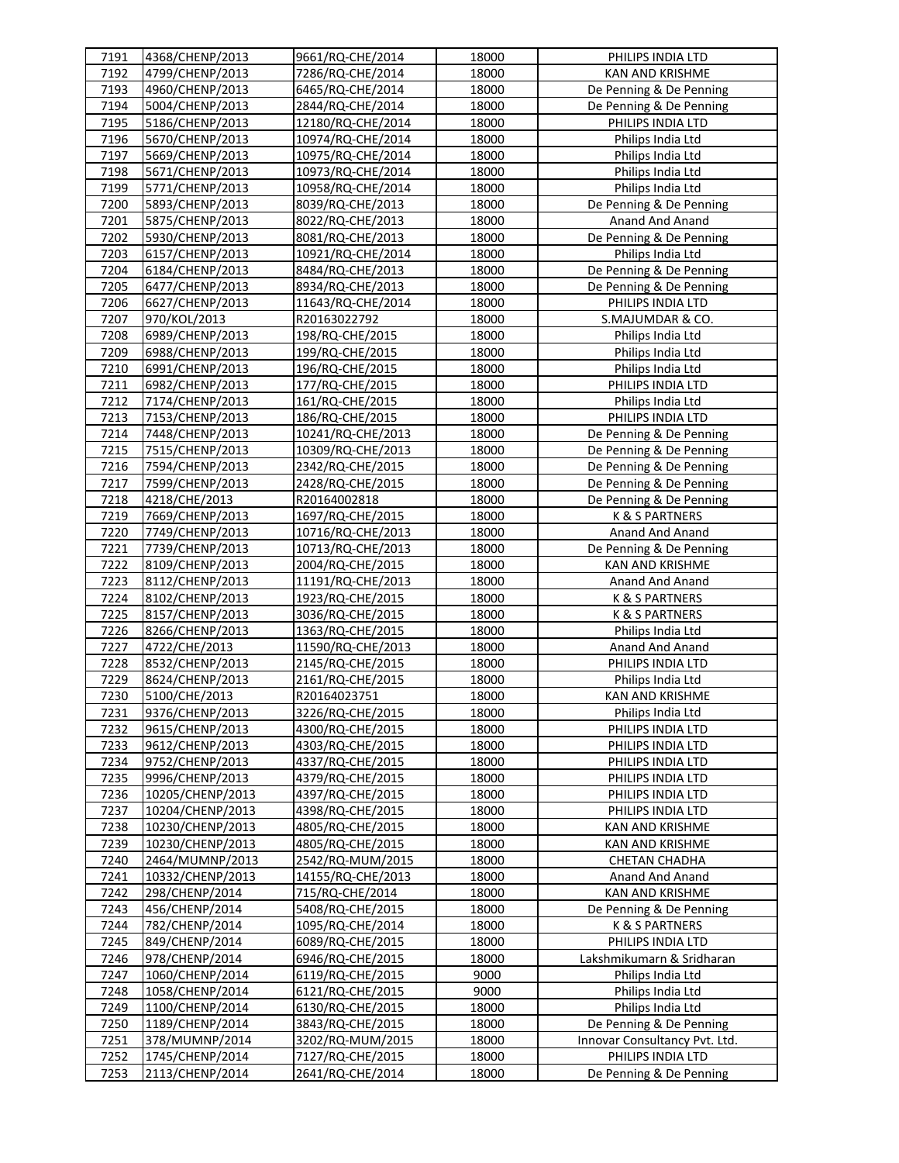| 7191 | 4368/CHENP/2013  | 9661/RQ-CHE/2014  | 18000 | PHILIPS INDIA LTD             |
|------|------------------|-------------------|-------|-------------------------------|
| 7192 | 4799/CHENP/2013  | 7286/RQ-CHE/2014  | 18000 | KAN AND KRISHME               |
| 7193 | 4960/CHENP/2013  | 6465/RQ-CHE/2014  | 18000 | De Penning & De Penning       |
| 7194 | 5004/CHENP/2013  | 2844/RQ-CHE/2014  | 18000 | De Penning & De Penning       |
| 7195 | 5186/CHENP/2013  | 12180/RQ-CHE/2014 | 18000 | PHILIPS INDIA LTD             |
| 7196 | 5670/CHENP/2013  | 10974/RQ-CHE/2014 | 18000 | Philips India Ltd             |
| 7197 | 5669/CHENP/2013  | 10975/RQ-CHE/2014 | 18000 | Philips India Ltd             |
| 7198 | 5671/CHENP/2013  | 10973/RQ-CHE/2014 | 18000 | Philips India Ltd             |
| 7199 | 5771/CHENP/2013  | 10958/RQ-CHE/2014 | 18000 | Philips India Ltd             |
| 7200 | 5893/CHENP/2013  | 8039/RQ-CHE/2013  | 18000 | De Penning & De Penning       |
| 7201 | 5875/CHENP/2013  | 8022/RQ-CHE/2013  | 18000 | Anand And Anand               |
| 7202 | 5930/CHENP/2013  | 8081/RQ-CHE/2013  | 18000 | De Penning & De Penning       |
| 7203 | 6157/CHENP/2013  | 10921/RQ-CHE/2014 | 18000 | Philips India Ltd             |
| 7204 | 6184/CHENP/2013  | 8484/RQ-CHE/2013  | 18000 | De Penning & De Penning       |
| 7205 | 6477/CHENP/2013  | 8934/RQ-CHE/2013  | 18000 | De Penning & De Penning       |
| 7206 | 6627/CHENP/2013  | 11643/RQ-CHE/2014 | 18000 | PHILIPS INDIA LTD             |
| 7207 | 970/KOL/2013     | R20163022792      | 18000 | S.MAJUMDAR & CO.              |
| 7208 | 6989/CHENP/2013  | 198/RQ-CHE/2015   | 18000 | Philips India Ltd             |
| 7209 | 6988/CHENP/2013  | 199/RQ-CHE/2015   | 18000 | Philips India Ltd             |
| 7210 | 6991/CHENP/2013  | 196/RQ-CHE/2015   | 18000 | Philips India Ltd             |
| 7211 | 6982/CHENP/2013  | 177/RQ-CHE/2015   | 18000 | PHILIPS INDIA LTD             |
| 7212 | 7174/CHENP/2013  | 161/RQ-CHE/2015   | 18000 | Philips India Ltd             |
| 7213 | 7153/CHENP/2013  | 186/RQ-CHE/2015   | 18000 | PHILIPS INDIA LTD             |
| 7214 | 7448/CHENP/2013  | 10241/RQ-CHE/2013 | 18000 | De Penning & De Penning       |
| 7215 | 7515/CHENP/2013  | 10309/RQ-CHE/2013 | 18000 | De Penning & De Penning       |
| 7216 | 7594/CHENP/2013  | 2342/RQ-CHE/2015  | 18000 | De Penning & De Penning       |
| 7217 | 7599/CHENP/2013  | 2428/RQ-CHE/2015  | 18000 | De Penning & De Penning       |
| 7218 | 4218/CHE/2013    | R20164002818      | 18000 | De Penning & De Penning       |
| 7219 | 7669/CHENP/2013  | 1697/RQ-CHE/2015  | 18000 | K & S PARTNERS                |
| 7220 | 7749/CHENP/2013  | 10716/RQ-CHE/2013 | 18000 | Anand And Anand               |
| 7221 | 7739/CHENP/2013  | 10713/RQ-CHE/2013 | 18000 | De Penning & De Penning       |
| 7222 | 8109/CHENP/2013  | 2004/RQ-CHE/2015  | 18000 | KAN AND KRISHME               |
| 7223 | 8112/CHENP/2013  | 11191/RQ-CHE/2013 | 18000 | Anand And Anand               |
| 7224 | 8102/CHENP/2013  | 1923/RQ-CHE/2015  | 18000 | K & S PARTNERS                |
| 7225 | 8157/CHENP/2013  | 3036/RQ-CHE/2015  | 18000 | K & S PARTNERS                |
| 7226 | 8266/CHENP/2013  | 1363/RQ-CHE/2015  | 18000 | Philips India Ltd             |
| 7227 | 4722/CHE/2013    | 11590/RQ-CHE/2013 | 18000 | Anand And Anand               |
| 7228 | 8532/CHENP/2013  | 2145/RQ-CHE/2015  | 18000 | PHILIPS INDIA LTD             |
| 7229 | 8624/CHENP/2013  | 2161/RQ-CHE/2015  | 18000 | Philips India Ltd             |
| 7230 | 5100/CHE/2013    | R20164023751      | 18000 | <b>KAN AND KRISHME</b>        |
| 7231 | 9376/CHENP/2013  | 3226/RQ-CHE/2015  | 18000 | Philips India Ltd             |
| 7232 | 9615/CHENP/2013  | 4300/RQ-CHE/2015  | 18000 | PHILIPS INDIA LTD             |
| 7233 | 9612/CHENP/2013  | 4303/RQ-CHE/2015  | 18000 | PHILIPS INDIA LTD             |
| 7234 | 9752/CHENP/2013  | 4337/RQ-CHE/2015  | 18000 | PHILIPS INDIA LTD             |
| 7235 | 9996/CHENP/2013  | 4379/RQ-CHE/2015  | 18000 | PHILIPS INDIA LTD             |
| 7236 | 10205/CHENP/2013 | 4397/RQ-CHE/2015  | 18000 | PHILIPS INDIA LTD             |
| 7237 | 10204/CHENP/2013 | 4398/RQ-CHE/2015  | 18000 | PHILIPS INDIA LTD             |
| 7238 | 10230/CHENP/2013 | 4805/RQ-CHE/2015  | 18000 | <b>KAN AND KRISHME</b>        |
| 7239 | 10230/CHENP/2013 | 4805/RQ-CHE/2015  | 18000 | KAN AND KRISHME               |
| 7240 | 2464/MUMNP/2013  | 2542/RQ-MUM/2015  | 18000 | <b>CHETAN CHADHA</b>          |
| 7241 | 10332/CHENP/2013 | 14155/RQ-CHE/2013 | 18000 | Anand And Anand               |
| 7242 | 298/CHENP/2014   | 715/RQ-CHE/2014   | 18000 | KAN AND KRISHME               |
| 7243 | 456/CHENP/2014   | 5408/RQ-CHE/2015  | 18000 | De Penning & De Penning       |
| 7244 | 782/CHENP/2014   | 1095/RQ-CHE/2014  | 18000 | K & S PARTNERS                |
| 7245 | 849/CHENP/2014   | 6089/RQ-CHE/2015  | 18000 | PHILIPS INDIA LTD             |
| 7246 | 978/CHENP/2014   | 6946/RQ-CHE/2015  | 18000 | Lakshmikumarn & Sridharan     |
| 7247 | 1060/CHENP/2014  | 6119/RQ-CHE/2015  | 9000  | Philips India Ltd             |
| 7248 | 1058/CHENP/2014  | 6121/RQ-CHE/2015  | 9000  | Philips India Ltd             |
| 7249 | 1100/CHENP/2014  | 6130/RQ-CHE/2015  | 18000 | Philips India Ltd             |
| 7250 | 1189/CHENP/2014  | 3843/RQ-CHE/2015  | 18000 | De Penning & De Penning       |
| 7251 | 378/MUMNP/2014   | 3202/RQ-MUM/2015  | 18000 | Innovar Consultancy Pvt. Ltd. |
| 7252 | 1745/CHENP/2014  | 7127/RQ-CHE/2015  | 18000 | PHILIPS INDIA LTD             |
| 7253 | 2113/CHENP/2014  | 2641/RQ-CHE/2014  | 18000 | De Penning & De Penning       |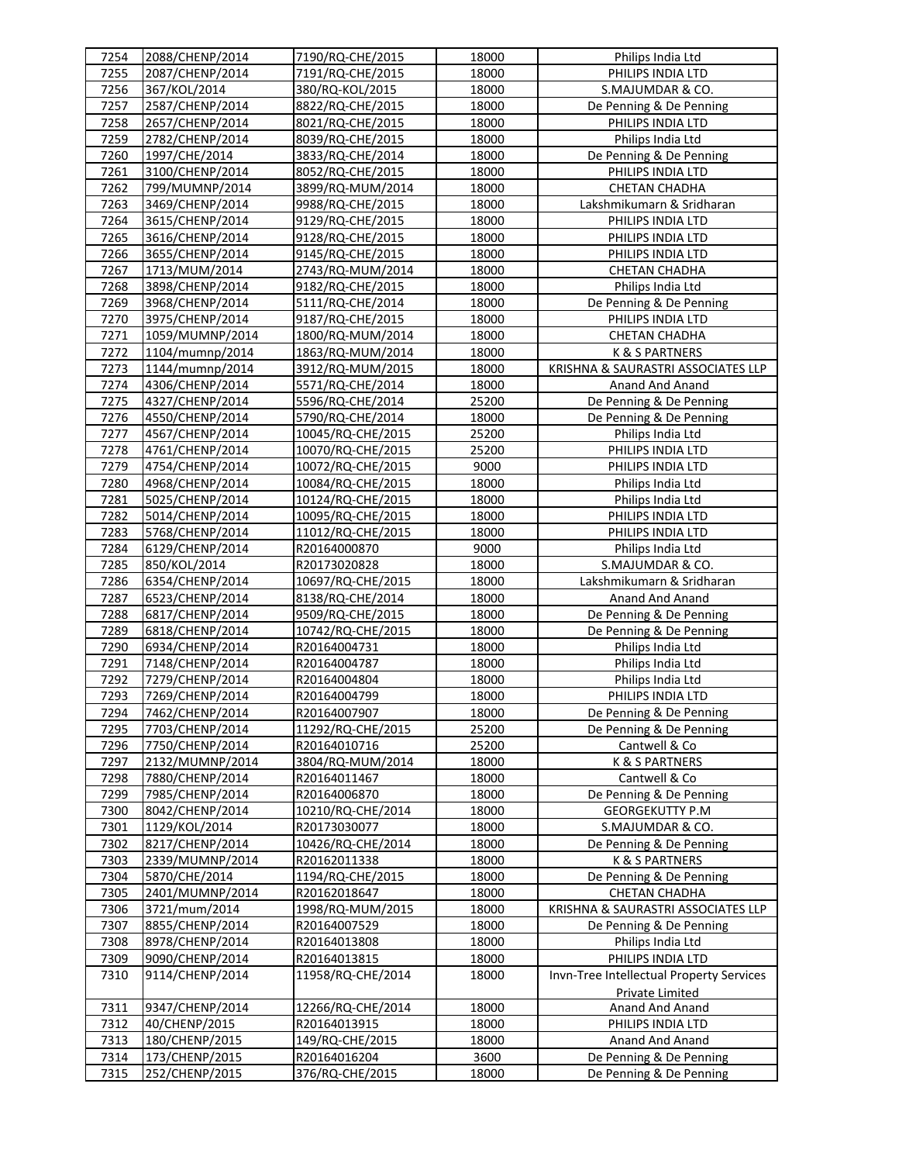| 7254 | 2088/CHENP/2014 | 7190/RQ-CHE/2015  | 18000 | Philips India Ltd                         |
|------|-----------------|-------------------|-------|-------------------------------------------|
| 7255 | 2087/CHENP/2014 | 7191/RQ-CHE/2015  | 18000 | PHILIPS INDIA LTD                         |
| 7256 | 367/KOL/2014    | 380/RQ-KOL/2015   | 18000 | S.MAJUMDAR & CO.                          |
| 7257 | 2587/CHENP/2014 | 8822/RQ-CHE/2015  | 18000 | De Penning & De Penning                   |
| 7258 | 2657/CHENP/2014 | 8021/RQ-CHE/2015  | 18000 | PHILIPS INDIA LTD                         |
| 7259 | 2782/CHENP/2014 | 8039/RQ-CHE/2015  | 18000 | Philips India Ltd                         |
| 7260 | 1997/CHE/2014   | 3833/RQ-CHE/2014  | 18000 | De Penning & De Penning                   |
| 7261 | 3100/CHENP/2014 | 8052/RQ-CHE/2015  | 18000 | PHILIPS INDIA LTD                         |
| 7262 | 799/MUMNP/2014  | 3899/RQ-MUM/2014  | 18000 | <b>CHETAN CHADHA</b>                      |
| 7263 | 3469/CHENP/2014 | 9988/RQ-CHE/2015  | 18000 | Lakshmikumarn & Sridharan                 |
| 7264 | 3615/CHENP/2014 | 9129/RQ-CHE/2015  | 18000 | PHILIPS INDIA LTD                         |
| 7265 | 3616/CHENP/2014 | 9128/RQ-CHE/2015  | 18000 | PHILIPS INDIA LTD                         |
| 7266 | 3655/CHENP/2014 | 9145/RQ-CHE/2015  | 18000 | PHILIPS INDIA LTD                         |
| 7267 | 1713/MUM/2014   | 2743/RQ-MUM/2014  | 18000 | <b>CHETAN CHADHA</b>                      |
| 7268 | 3898/CHENP/2014 | 9182/RQ-CHE/2015  | 18000 | Philips India Ltd                         |
| 7269 | 3968/CHENP/2014 | 5111/RQ-CHE/2014  | 18000 | De Penning & De Penning                   |
| 7270 | 3975/CHENP/2014 | 9187/RQ-CHE/2015  | 18000 | PHILIPS INDIA LTD                         |
| 7271 | 1059/MUMNP/2014 | 1800/RQ-MUM/2014  | 18000 | <b>CHETAN CHADHA</b>                      |
| 7272 | 1104/mumnp/2014 | 1863/RQ-MUM/2014  | 18000 | <b>K &amp; S PARTNERS</b>                 |
| 7273 | 1144/mumnp/2014 | 3912/RQ-MUM/2015  | 18000 | KRISHNA & SAURASTRI ASSOCIATES LLP        |
| 7274 | 4306/CHENP/2014 | 5571/RQ-CHE/2014  | 18000 | Anand And Anand                           |
| 7275 | 4327/CHENP/2014 | 5596/RQ-CHE/2014  | 25200 | De Penning & De Penning                   |
| 7276 | 4550/CHENP/2014 | 5790/RQ-CHE/2014  | 18000 | De Penning & De Penning                   |
| 7277 | 4567/CHENP/2014 | 10045/RQ-CHE/2015 | 25200 | Philips India Ltd                         |
| 7278 | 4761/CHENP/2014 | 10070/RQ-CHE/2015 | 25200 | PHILIPS INDIA LTD                         |
| 7279 | 4754/CHENP/2014 | 10072/RQ-CHE/2015 | 9000  | PHILIPS INDIA LTD                         |
| 7280 | 4968/CHENP/2014 | 10084/RQ-CHE/2015 | 18000 | Philips India Ltd                         |
| 7281 | 5025/CHENP/2014 | 10124/RQ-CHE/2015 | 18000 | Philips India Ltd                         |
| 7282 | 5014/CHENP/2014 | 10095/RQ-CHE/2015 | 18000 | PHILIPS INDIA LTD                         |
| 7283 | 5768/CHENP/2014 | 11012/RQ-CHE/2015 | 18000 | PHILIPS INDIA LTD                         |
| 7284 | 6129/CHENP/2014 | R20164000870      | 9000  | Philips India Ltd                         |
| 7285 | 850/KOL/2014    | R20173020828      | 18000 | S.MAJUMDAR & CO.                          |
| 7286 | 6354/CHENP/2014 | 10697/RQ-CHE/2015 | 18000 | Lakshmikumarn & Sridharan                 |
| 7287 | 6523/CHENP/2014 | 8138/RQ-CHE/2014  | 18000 | Anand And Anand                           |
| 7288 | 6817/CHENP/2014 | 9509/RQ-CHE/2015  | 18000 | De Penning & De Penning                   |
| 7289 | 6818/CHENP/2014 | 10742/RQ-CHE/2015 | 18000 | De Penning & De Penning                   |
| 7290 | 6934/CHENP/2014 | R20164004731      | 18000 | Philips India Ltd                         |
| 7291 | 7148/CHENP/2014 | R20164004787      | 18000 | Philips India Ltd                         |
| 7292 | 7279/CHENP/2014 | R20164004804      | 18000 | Philips India Ltd                         |
| 7293 | 7269/CHENP/2014 | R20164004799      | 18000 | PHILIPS INDIA LTD                         |
| 7294 | 7462/CHENP/2014 | R20164007907      | 18000 | De Penning & De Penning                   |
| 7295 | 7703/CHENP/2014 | 11292/RQ-CHE/2015 | 25200 | De Penning & De Penning                   |
| 7296 | 7750/CHENP/2014 | R20164010716      | 25200 | Cantwell & Co                             |
| 7297 | 2132/MUMNP/2014 | 3804/RQ-MUM/2014  | 18000 | <b>K &amp; S PARTNERS</b>                 |
| 7298 | 7880/CHENP/2014 | R20164011467      | 18000 | Cantwell & Co                             |
| 7299 | 7985/CHENP/2014 | R20164006870      | 18000 | De Penning & De Penning                   |
| 7300 | 8042/CHENP/2014 | 10210/RQ-CHE/2014 | 18000 | <b>GEORGEKUTTY P.M</b>                    |
| 7301 | 1129/KOL/2014   | R20173030077      | 18000 | S.MAJUMDAR & CO.                          |
| 7302 | 8217/CHENP/2014 | 10426/RQ-CHE/2014 | 18000 | De Penning & De Penning                   |
| 7303 | 2339/MUMNP/2014 | R20162011338      | 18000 | K & S PARTNERS                            |
| 7304 | 5870/CHE/2014   | 1194/RQ-CHE/2015  | 18000 | De Penning & De Penning                   |
| 7305 | 2401/MUMNP/2014 | R20162018647      | 18000 | <b>CHETAN CHADHA</b>                      |
| 7306 | 3721/mum/2014   | 1998/RQ-MUM/2015  | 18000 | KRISHNA & SAURASTRI ASSOCIATES LLP        |
| 7307 | 8855/CHENP/2014 | R20164007529      | 18000 | De Penning & De Penning                   |
| 7308 | 8978/CHENP/2014 | R20164013808      | 18000 | Philips India Ltd                         |
| 7309 | 9090/CHENP/2014 | R20164013815      | 18000 | PHILIPS INDIA LTD                         |
| 7310 | 9114/CHENP/2014 | 11958/RQ-CHE/2014 | 18000 | Invn-Tree Intellectual Property Services  |
|      |                 |                   |       |                                           |
| 7311 | 9347/CHENP/2014 | 12266/RQ-CHE/2014 | 18000 | <b>Private Limited</b><br>Anand And Anand |
|      | 40/CHENP/2015   |                   |       |                                           |
| 7312 |                 | R20164013915      | 18000 | PHILIPS INDIA LTD                         |
| 7313 | 180/CHENP/2015  | 149/RQ-CHE/2015   | 18000 | Anand And Anand                           |
| 7314 | 173/CHENP/2015  | R20164016204      | 3600  | De Penning & De Penning                   |
| 7315 | 252/CHENP/2015  | 376/RQ-CHE/2015   | 18000 | De Penning & De Penning                   |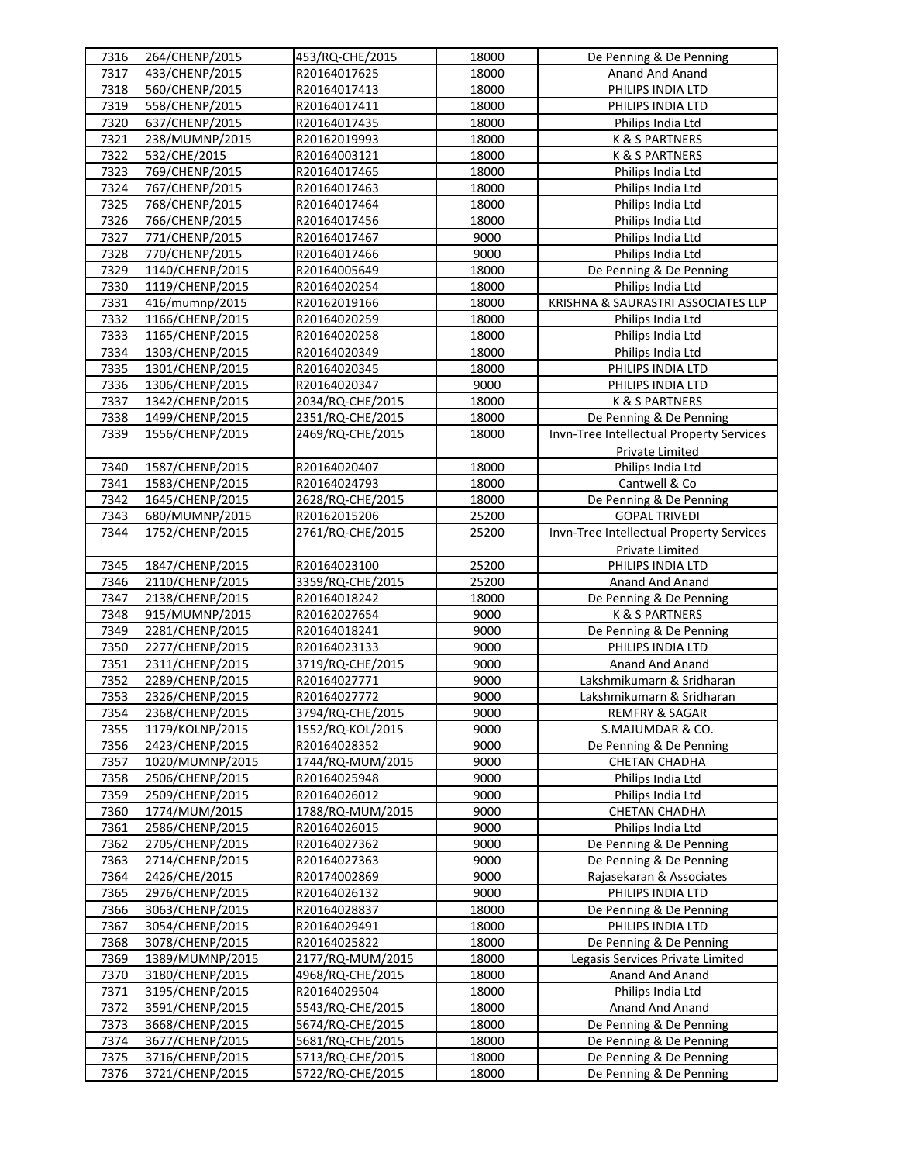| 7316 | 264/CHENP/2015  | 453/RQ-CHE/2015  | 18000 | De Penning & De Penning                  |
|------|-----------------|------------------|-------|------------------------------------------|
| 7317 | 433/CHENP/2015  | R20164017625     | 18000 | Anand And Anand                          |
| 7318 | 560/CHENP/2015  | R20164017413     | 18000 | PHILIPS INDIA LTD                        |
| 7319 | 558/CHENP/2015  | R20164017411     | 18000 | PHILIPS INDIA LTD                        |
| 7320 | 637/CHENP/2015  | R20164017435     | 18000 | Philips India Ltd                        |
| 7321 | 238/MUMNP/2015  | R20162019993     | 18000 | K & S PARTNERS                           |
| 7322 | 532/CHE/2015    | R20164003121     | 18000 | K & S PARTNERS                           |
| 7323 | 769/CHENP/2015  | R20164017465     | 18000 | Philips India Ltd                        |
| 7324 | 767/CHENP/2015  | R20164017463     | 18000 | Philips India Ltd                        |
| 7325 | 768/CHENP/2015  | R20164017464     | 18000 | Philips India Ltd                        |
| 7326 | 766/CHENP/2015  | R20164017456     | 18000 | Philips India Ltd                        |
| 7327 | 771/CHENP/2015  | R20164017467     | 9000  | Philips India Ltd                        |
| 7328 | 770/CHENP/2015  | R20164017466     | 9000  | Philips India Ltd                        |
| 7329 | 1140/CHENP/2015 | R20164005649     | 18000 | De Penning & De Penning                  |
| 7330 | 1119/CHENP/2015 | R20164020254     | 18000 | Philips India Ltd                        |
| 7331 | 416/mumnp/2015  | R20162019166     | 18000 | KRISHNA & SAURASTRI ASSOCIATES LLP       |
| 7332 | 1166/CHENP/2015 | R20164020259     | 18000 | Philips India Ltd                        |
| 7333 | 1165/CHENP/2015 | R20164020258     | 18000 | Philips India Ltd                        |
| 7334 | 1303/CHENP/2015 | R20164020349     | 18000 | Philips India Ltd                        |
| 7335 | 1301/CHENP/2015 | R20164020345     | 18000 | PHILIPS INDIA LTD                        |
| 7336 | 1306/CHENP/2015 | R20164020347     | 9000  | PHILIPS INDIA LTD                        |
| 7337 | 1342/CHENP/2015 | 2034/RQ-CHE/2015 | 18000 | K & S PARTNERS                           |
| 7338 | 1499/CHENP/2015 | 2351/RQ-CHE/2015 | 18000 | De Penning & De Penning                  |
| 7339 | 1556/CHENP/2015 | 2469/RQ-CHE/2015 | 18000 | Invn-Tree Intellectual Property Services |
|      |                 |                  |       | <b>Private Limited</b>                   |
| 7340 | 1587/CHENP/2015 | R20164020407     | 18000 | Philips India Ltd                        |
| 7341 | 1583/CHENP/2015 | R20164024793     | 18000 | Cantwell & Co                            |
| 7342 | 1645/CHENP/2015 | 2628/RQ-CHE/2015 | 18000 | De Penning & De Penning                  |
| 7343 | 680/MUMNP/2015  | R20162015206     | 25200 | <b>GOPAL TRIVEDI</b>                     |
| 7344 | 1752/CHENP/2015 | 2761/RQ-CHE/2015 | 25200 | Invn-Tree Intellectual Property Services |
|      |                 |                  |       | <b>Private Limited</b>                   |
| 7345 | 1847/CHENP/2015 | R20164023100     | 25200 | PHILIPS INDIA LTD                        |
| 7346 | 2110/CHENP/2015 | 3359/RQ-CHE/2015 | 25200 | Anand And Anand                          |
| 7347 | 2138/CHENP/2015 | R20164018242     | 18000 | De Penning & De Penning                  |
| 7348 | 915/MUMNP/2015  | R20162027654     | 9000  | K & S PARTNERS                           |
| 7349 | 2281/CHENP/2015 | R20164018241     | 9000  | De Penning & De Penning                  |
| 7350 | 2277/CHENP/2015 | R20164023133     | 9000  | PHILIPS INDIA LTD                        |
| 7351 | 2311/CHENP/2015 | 3719/RQ-CHE/2015 | 9000  | Anand And Anand                          |
| 7352 | 2289/CHENP/2015 | R20164027771     | 9000  | Lakshmikumarn & Sridharan                |
| 7353 | 2326/CHENP/2015 | R20164027772     | 9000  | Lakshmikumarn & Sridharan                |
| 7354 | 2368/CHENP/2015 | 3794/RQ-CHE/2015 | 9000  | <b>REMFRY &amp; SAGAR</b>                |
| 7355 | 1179/KOLNP/2015 | 1552/RQ-KOL/2015 | 9000  | S.MAJUMDAR & CO.                         |
| 7356 | 2423/CHENP/2015 | R20164028352     | 9000  | De Penning & De Penning                  |
| 7357 | 1020/MUMNP/2015 | 1744/RQ-MUM/2015 | 9000  | <b>CHETAN CHADHA</b>                     |
| 7358 | 2506/CHENP/2015 | R20164025948     | 9000  | Philips India Ltd                        |
| 7359 | 2509/CHENP/2015 | R20164026012     | 9000  | Philips India Ltd                        |
| 7360 | 1774/MUM/2015   | 1788/RQ-MUM/2015 | 9000  | <b>CHETAN CHADHA</b>                     |
| 7361 | 2586/CHENP/2015 | R20164026015     | 9000  | Philips India Ltd                        |
| 7362 | 2705/CHENP/2015 | R20164027362     | 9000  | De Penning & De Penning                  |
| 7363 | 2714/CHENP/2015 | R20164027363     | 9000  | De Penning & De Penning                  |
| 7364 | 2426/CHE/2015   | R20174002869     | 9000  | Rajasekaran & Associates                 |
| 7365 | 2976/CHENP/2015 | R20164026132     | 9000  | PHILIPS INDIA LTD                        |
| 7366 | 3063/CHENP/2015 | R20164028837     | 18000 | De Penning & De Penning                  |
| 7367 | 3054/CHENP/2015 | R20164029491     | 18000 | PHILIPS INDIA LTD                        |
| 7368 | 3078/CHENP/2015 | R20164025822     | 18000 | De Penning & De Penning                  |
| 7369 | 1389/MUMNP/2015 | 2177/RQ-MUM/2015 | 18000 | Legasis Services Private Limited         |
| 7370 | 3180/CHENP/2015 | 4968/RQ-CHE/2015 | 18000 | Anand And Anand                          |
| 7371 | 3195/CHENP/2015 | R20164029504     | 18000 | Philips India Ltd                        |
| 7372 | 3591/CHENP/2015 | 5543/RQ-CHE/2015 | 18000 | Anand And Anand                          |
| 7373 | 3668/CHENP/2015 | 5674/RQ-CHE/2015 | 18000 | De Penning & De Penning                  |
| 7374 | 3677/CHENP/2015 | 5681/RQ-CHE/2015 | 18000 | De Penning & De Penning                  |
| 7375 | 3716/CHENP/2015 | 5713/RQ-CHE/2015 | 18000 | De Penning & De Penning                  |
| 7376 | 3721/CHENP/2015 | 5722/RQ-CHE/2015 | 18000 | De Penning & De Penning                  |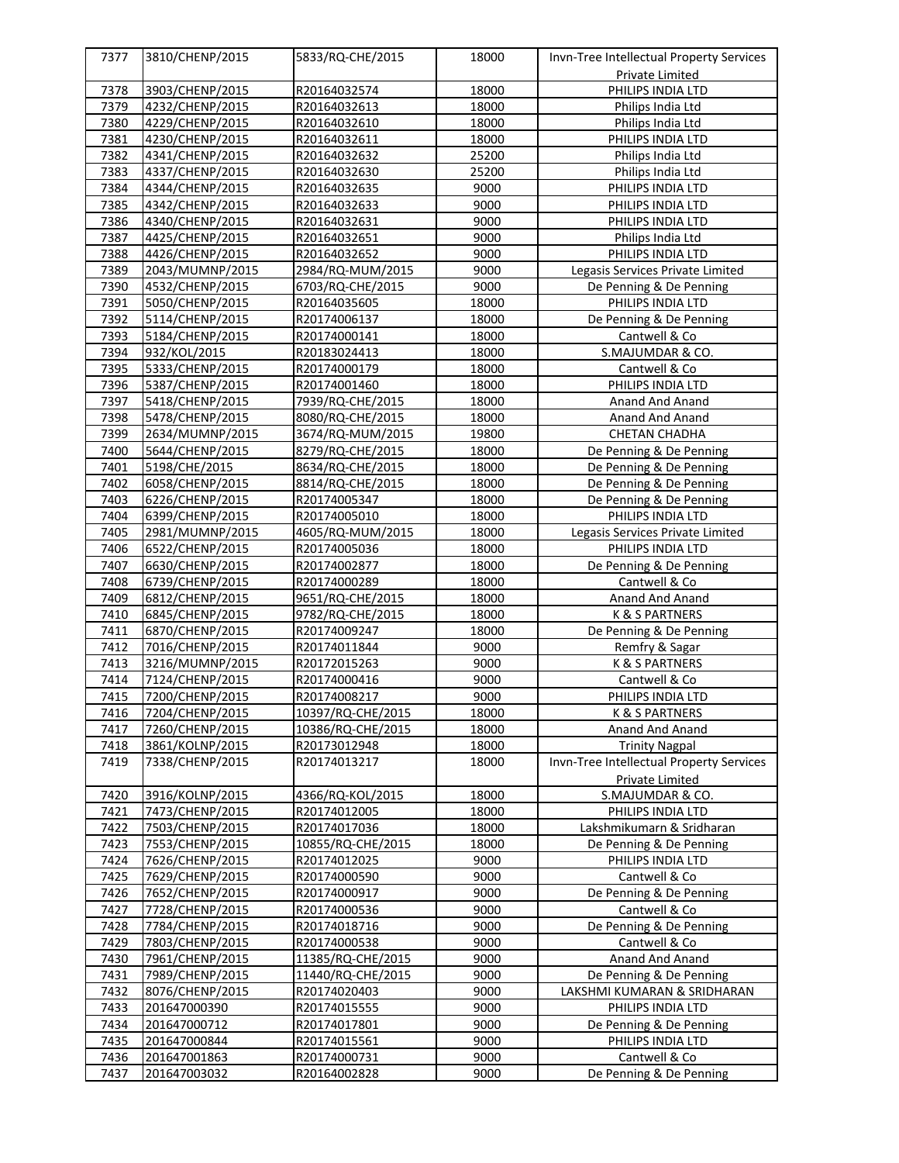| 7377 | 3810/CHENP/2015 | 5833/RQ-CHE/2015  | 18000 | Invn-Tree Intellectual Property Services |
|------|-----------------|-------------------|-------|------------------------------------------|
|      |                 |                   |       | Private Limited                          |
| 7378 | 3903/CHENP/2015 | R20164032574      | 18000 | PHILIPS INDIA LTD                        |
| 7379 | 4232/CHENP/2015 | R20164032613      | 18000 | Philips India Ltd                        |
| 7380 | 4229/CHENP/2015 | R20164032610      | 18000 | Philips India Ltd                        |
| 7381 | 4230/CHENP/2015 | R20164032611      | 18000 | PHILIPS INDIA LTD                        |
| 7382 | 4341/CHENP/2015 | R20164032632      | 25200 | Philips India Ltd                        |
| 7383 | 4337/CHENP/2015 | R20164032630      | 25200 | Philips India Ltd                        |
| 7384 | 4344/CHENP/2015 | R20164032635      | 9000  | PHILIPS INDIA LTD                        |
| 7385 | 4342/CHENP/2015 | R20164032633      | 9000  | PHILIPS INDIA LTD                        |
| 7386 | 4340/CHENP/2015 | R20164032631      | 9000  | PHILIPS INDIA LTD                        |
| 7387 | 4425/CHENP/2015 | R20164032651      | 9000  | Philips India Ltd                        |
| 7388 | 4426/CHENP/2015 | R20164032652      | 9000  | PHILIPS INDIA LTD                        |
| 7389 | 2043/MUMNP/2015 | 2984/RQ-MUM/2015  | 9000  | Legasis Services Private Limited         |
| 7390 | 4532/CHENP/2015 | 6703/RQ-CHE/2015  | 9000  | De Penning & De Penning                  |
| 7391 | 5050/CHENP/2015 | R20164035605      | 18000 | PHILIPS INDIA LTD                        |
| 7392 | 5114/CHENP/2015 | R20174006137      | 18000 | De Penning & De Penning                  |
| 7393 | 5184/CHENP/2015 | R20174000141      | 18000 | Cantwell & Co                            |
| 7394 | 932/KOL/2015    | R20183024413      | 18000 | S.MAJUMDAR & CO.                         |
| 7395 | 5333/CHENP/2015 | R20174000179      | 18000 | Cantwell & Co                            |
| 7396 | 5387/CHENP/2015 | R20174001460      | 18000 | PHILIPS INDIA LTD                        |
| 7397 | 5418/CHENP/2015 | 7939/RQ-CHE/2015  | 18000 | Anand And Anand                          |
| 7398 | 5478/CHENP/2015 | 8080/RQ-CHE/2015  | 18000 | Anand And Anand                          |
| 7399 | 2634/MUMNP/2015 | 3674/RQ-MUM/2015  | 19800 | <b>CHETAN CHADHA</b>                     |
| 7400 | 5644/CHENP/2015 | 8279/RQ-CHE/2015  | 18000 | De Penning & De Penning                  |
| 7401 | 5198/CHE/2015   | 8634/RQ-CHE/2015  | 18000 | De Penning & De Penning                  |
| 7402 | 6058/CHENP/2015 | 8814/RQ-CHE/2015  | 18000 | De Penning & De Penning                  |
| 7403 | 6226/CHENP/2015 | R20174005347      | 18000 | De Penning & De Penning                  |
| 7404 | 6399/CHENP/2015 | R20174005010      | 18000 | PHILIPS INDIA LTD                        |
| 7405 | 2981/MUMNP/2015 | 4605/RQ-MUM/2015  | 18000 | Legasis Services Private Limited         |
| 7406 | 6522/CHENP/2015 | R20174005036      | 18000 | PHILIPS INDIA LTD                        |
| 7407 | 6630/CHENP/2015 | R20174002877      | 18000 | De Penning & De Penning                  |
| 7408 | 6739/CHENP/2015 | R20174000289      | 18000 | Cantwell & Co                            |
| 7409 | 6812/CHENP/2015 | 9651/RQ-CHE/2015  | 18000 | Anand And Anand                          |
| 7410 | 6845/CHENP/2015 | 9782/RQ-CHE/2015  | 18000 | K & S PARTNERS                           |
| 7411 | 6870/CHENP/2015 | R20174009247      | 18000 | De Penning & De Penning                  |
| 7412 | 7016/CHENP/2015 | R20174011844      | 9000  | Remfry & Sagar                           |
| 7413 | 3216/MUMNP/2015 | R20172015263      | 9000  | K & S PARTNERS                           |
| 7414 | 7124/CHENP/2015 | R20174000416      | 9000  | Cantwell & Co                            |
| 7415 | 7200/CHENP/2015 | R20174008217      | 9000  | PHILIPS INDIA LTD                        |
| 7416 | 7204/CHENP/2015 | 10397/RQ-CHE/2015 | 18000 | <b>K &amp; S PARTNERS</b>                |
| 7417 | 7260/CHENP/2015 | 10386/RQ-CHE/2015 | 18000 | Anand And Anand                          |
| 7418 | 3861/KOLNP/2015 | R20173012948      | 18000 | <b>Trinity Nagpal</b>                    |
| 7419 | 7338/CHENP/2015 | R20174013217      | 18000 | Invn-Tree Intellectual Property Services |
|      |                 |                   |       | <b>Private Limited</b>                   |
| 7420 | 3916/KOLNP/2015 | 4366/RQ-KOL/2015  | 18000 | S.MAJUMDAR & CO.                         |
| 7421 | 7473/CHENP/2015 | R20174012005      | 18000 | PHILIPS INDIA LTD                        |
| 7422 | 7503/CHENP/2015 | R20174017036      | 18000 | Lakshmikumarn & Sridharan                |
| 7423 | 7553/CHENP/2015 | 10855/RQ-CHE/2015 | 18000 | De Penning & De Penning                  |
| 7424 | 7626/CHENP/2015 | R20174012025      | 9000  | PHILIPS INDIA LTD                        |
| 7425 | 7629/CHENP/2015 | R20174000590      | 9000  | Cantwell & Co                            |
| 7426 | 7652/CHENP/2015 | R20174000917      | 9000  | De Penning & De Penning                  |
| 7427 | 7728/CHENP/2015 | R20174000536      | 9000  | Cantwell & Co                            |
| 7428 | 7784/CHENP/2015 | R20174018716      | 9000  | De Penning & De Penning                  |
| 7429 | 7803/CHENP/2015 | R20174000538      | 9000  | Cantwell & Co                            |
| 7430 | 7961/CHENP/2015 | 11385/RQ-CHE/2015 | 9000  | Anand And Anand                          |
| 7431 | 7989/CHENP/2015 | 11440/RQ-CHE/2015 | 9000  | De Penning & De Penning                  |
| 7432 | 8076/CHENP/2015 | R20174020403      | 9000  | LAKSHMI KUMARAN & SRIDHARAN              |
| 7433 | 201647000390    | R20174015555      | 9000  | PHILIPS INDIA LTD                        |
| 7434 | 201647000712    | R20174017801      | 9000  | De Penning & De Penning                  |
| 7435 | 201647000844    | R20174015561      | 9000  | PHILIPS INDIA LTD                        |
| 7436 | 201647001863    | R20174000731      | 9000  | Cantwell & Co                            |
| 7437 | 201647003032    | R20164002828      | 9000  | De Penning & De Penning                  |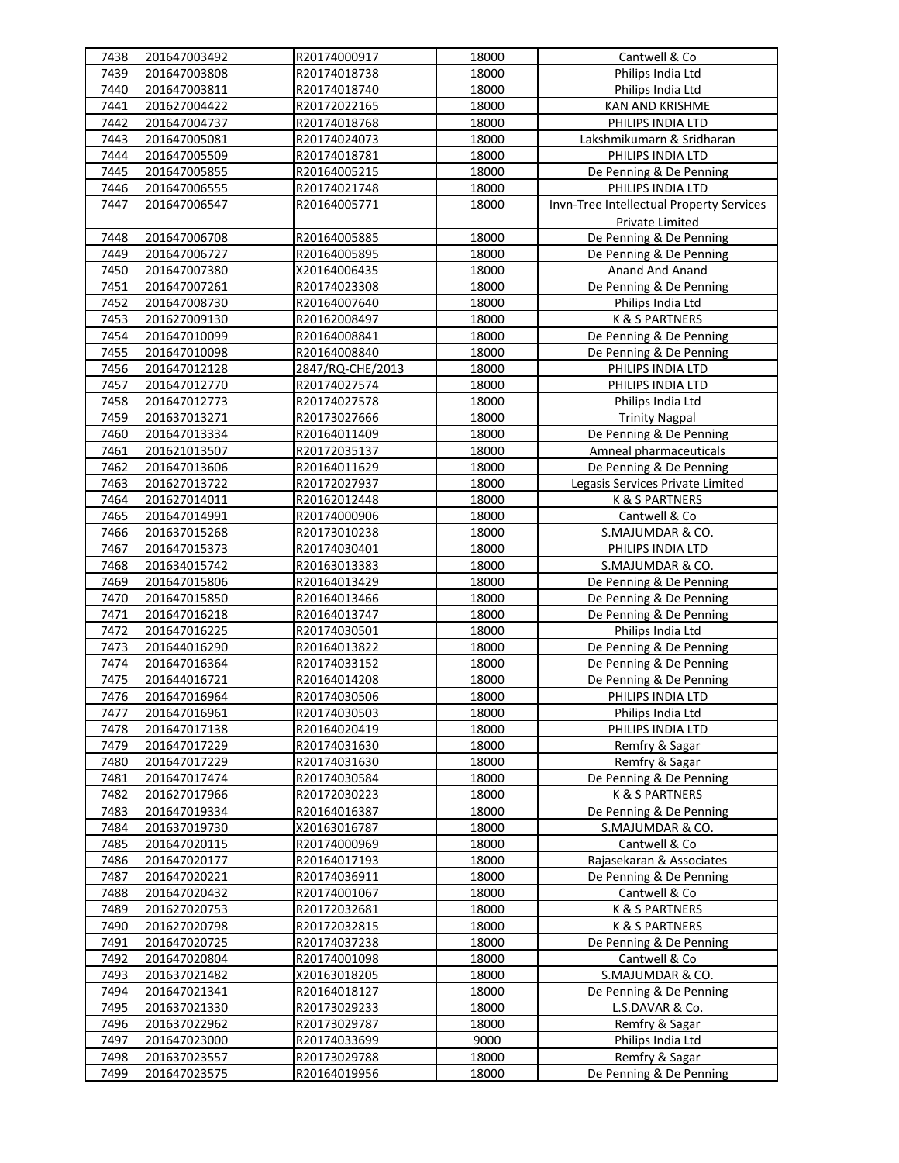| 7438 | 201647003492 | R20174000917     | 18000 | Cantwell & Co                            |
|------|--------------|------------------|-------|------------------------------------------|
| 7439 | 201647003808 | R20174018738     | 18000 | Philips India Ltd                        |
| 7440 | 201647003811 | R20174018740     | 18000 | Philips India Ltd                        |
| 7441 | 201627004422 | R20172022165     | 18000 | KAN AND KRISHME                          |
| 7442 | 201647004737 | R20174018768     | 18000 | PHILIPS INDIA LTD                        |
| 7443 | 201647005081 | R20174024073     | 18000 | Lakshmikumarn & Sridharan                |
| 7444 | 201647005509 | R20174018781     | 18000 | PHILIPS INDIA LTD                        |
| 7445 | 201647005855 | R20164005215     | 18000 | De Penning & De Penning                  |
| 7446 | 201647006555 | R20174021748     | 18000 | PHILIPS INDIA LTD                        |
| 7447 | 201647006547 | R20164005771     | 18000 | Invn-Tree Intellectual Property Services |
|      |              |                  |       |                                          |
|      |              |                  |       | Private Limited                          |
| 7448 | 201647006708 | R20164005885     | 18000 | De Penning & De Penning                  |
| 7449 | 201647006727 | R20164005895     | 18000 | De Penning & De Penning                  |
| 7450 | 201647007380 | X20164006435     | 18000 | Anand And Anand                          |
| 7451 | 201647007261 | R20174023308     | 18000 | De Penning & De Penning                  |
| 7452 | 201647008730 | R20164007640     | 18000 | Philips India Ltd                        |
| 7453 | 201627009130 | R20162008497     | 18000 | K & S PARTNERS                           |
| 7454 | 201647010099 | R20164008841     | 18000 | De Penning & De Penning                  |
| 7455 | 201647010098 | R20164008840     | 18000 | De Penning & De Penning                  |
| 7456 | 201647012128 | 2847/RQ-CHE/2013 | 18000 | PHILIPS INDIA LTD                        |
| 7457 | 201647012770 | R20174027574     | 18000 | PHILIPS INDIA LTD                        |
| 7458 | 201647012773 | R20174027578     | 18000 | Philips India Ltd                        |
| 7459 | 201637013271 | R20173027666     | 18000 | <b>Trinity Nagpal</b>                    |
| 7460 | 201647013334 | R20164011409     | 18000 | De Penning & De Penning                  |
| 7461 | 201621013507 | R20172035137     | 18000 | Amneal pharmaceuticals                   |
| 7462 | 201647013606 | R20164011629     | 18000 | De Penning & De Penning                  |
| 7463 | 201627013722 | R20172027937     | 18000 | Legasis Services Private Limited         |
| 7464 | 201627014011 | R20162012448     | 18000 | <b>K &amp; S PARTNERS</b>                |
| 7465 | 201647014991 | R20174000906     | 18000 | Cantwell & Co                            |
| 7466 | 201637015268 | R20173010238     | 18000 | S.MAJUMDAR & CO.                         |
| 7467 | 201647015373 | R20174030401     | 18000 | PHILIPS INDIA LTD                        |
| 7468 | 201634015742 | R20163013383     | 18000 | S.MAJUMDAR & CO.                         |
|      |              |                  |       |                                          |
| 7469 | 201647015806 | R20164013429     | 18000 | De Penning & De Penning                  |
| 7470 | 201647015850 | R20164013466     | 18000 | De Penning & De Penning                  |
| 7471 | 201647016218 | R20164013747     | 18000 | De Penning & De Penning                  |
| 7472 | 201647016225 | R20174030501     | 18000 | Philips India Ltd                        |
| 7473 | 201644016290 | R20164013822     | 18000 | De Penning & De Penning                  |
| 7474 | 201647016364 | R20174033152     | 18000 | De Penning & De Penning                  |
| 7475 | 201644016721 | R20164014208     | 18000 | De Penning & De Penning                  |
| 7476 | 201647016964 | R20174030506     | 18000 | PHILIPS INDIA LTD                        |
| 7477 | 201647016961 | R20174030503     | 18000 | Philips India Ltd                        |
| 7478 | 201647017138 | R20164020419     | 18000 | PHILIPS INDIA LTD                        |
| 7479 | 201647017229 | R20174031630     | 18000 | Remfry & Sagar                           |
| 7480 | 201647017229 | R20174031630     | 18000 | Remfry & Sagar                           |
| 7481 | 201647017474 | R20174030584     | 18000 | De Penning & De Penning                  |
| 7482 | 201627017966 | R20172030223     | 18000 | <b>K &amp; S PARTNERS</b>                |
| 7483 | 201647019334 | R20164016387     | 18000 | De Penning & De Penning                  |
| 7484 | 201637019730 | X20163016787     | 18000 | S.MAJUMDAR & CO.                         |
| 7485 | 201647020115 | R20174000969     | 18000 | Cantwell & Co                            |
| 7486 | 201647020177 | R20164017193     | 18000 | Rajasekaran & Associates                 |
| 7487 | 201647020221 | R20174036911     | 18000 | De Penning & De Penning                  |
| 7488 | 201647020432 | R20174001067     | 18000 | Cantwell & Co                            |
| 7489 | 201627020753 | R20172032681     | 18000 | K & S PARTNERS                           |
| 7490 | 201627020798 | R20172032815     | 18000 | K & S PARTNERS                           |
| 7491 | 201647020725 | R20174037238     | 18000 | De Penning & De Penning                  |
| 7492 | 201647020804 | R20174001098     | 18000 | Cantwell & Co                            |
|      |              | X20163018205     |       |                                          |
| 7493 | 201637021482 |                  | 18000 | S.MAJUMDAR & CO.                         |
| 7494 | 201647021341 | R20164018127     | 18000 | De Penning & De Penning                  |
| 7495 | 201637021330 | R20173029233     | 18000 | L.S.DAVAR & Co.                          |
| 7496 | 201637022962 | R20173029787     | 18000 | Remfry & Sagar                           |
| 7497 | 201647023000 | R20174033699     | 9000  | Philips India Ltd                        |
| 7498 | 201637023557 | R20173029788     | 18000 | Remfry & Sagar                           |
| 7499 | 201647023575 | R20164019956     | 18000 | De Penning & De Penning                  |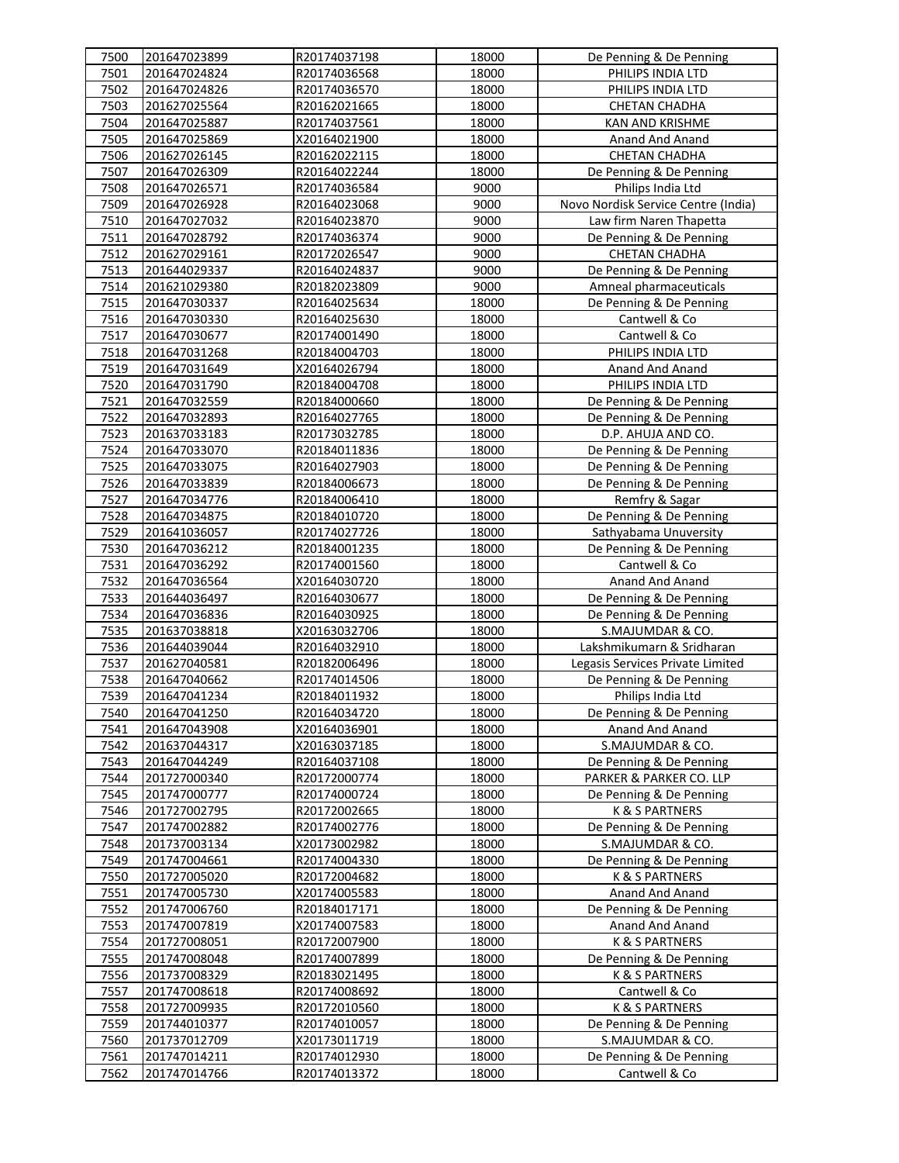| 7500 | 201647023899 | R20174037198 | 18000 | De Penning & De Penning             |
|------|--------------|--------------|-------|-------------------------------------|
| 7501 | 201647024824 | R20174036568 | 18000 | PHILIPS INDIA LTD                   |
| 7502 | 201647024826 | R20174036570 | 18000 | PHILIPS INDIA LTD                   |
| 7503 | 201627025564 | R20162021665 | 18000 | <b>CHETAN CHADHA</b>                |
| 7504 | 201647025887 | R20174037561 | 18000 | KAN AND KRISHME                     |
| 7505 | 201647025869 | X20164021900 | 18000 | Anand And Anand                     |
| 7506 | 201627026145 | R20162022115 | 18000 | <b>CHETAN CHADHA</b>                |
| 7507 | 201647026309 | R20164022244 | 18000 | De Penning & De Penning             |
| 7508 | 201647026571 | R20174036584 | 9000  | Philips India Ltd                   |
| 7509 | 201647026928 | R20164023068 | 9000  | Novo Nordisk Service Centre (India) |
| 7510 | 201647027032 | R20164023870 | 9000  | Law firm Naren Thapetta             |
| 7511 | 201647028792 | R20174036374 | 9000  | De Penning & De Penning             |
| 7512 | 201627029161 | R20172026547 | 9000  | <b>CHETAN CHADHA</b>                |
| 7513 | 201644029337 | R20164024837 | 9000  | De Penning & De Penning             |
| 7514 | 201621029380 | R20182023809 | 9000  | Amneal pharmaceuticals              |
| 7515 | 201647030337 | R20164025634 | 18000 | De Penning & De Penning             |
| 7516 | 201647030330 | R20164025630 | 18000 | Cantwell & Co                       |
| 7517 | 201647030677 | R20174001490 | 18000 | Cantwell & Co                       |
| 7518 | 201647031268 | R20184004703 | 18000 | PHILIPS INDIA LTD                   |
| 7519 | 201647031649 | X20164026794 | 18000 | Anand And Anand                     |
| 7520 | 201647031790 | R20184004708 | 18000 | PHILIPS INDIA LTD                   |
| 7521 | 201647032559 | R20184000660 | 18000 | De Penning & De Penning             |
| 7522 | 201647032893 | R20164027765 | 18000 | De Penning & De Penning             |
| 7523 | 201637033183 | R20173032785 | 18000 | D.P. AHUJA AND CO.                  |
| 7524 | 201647033070 | R20184011836 | 18000 | De Penning & De Penning             |
| 7525 | 201647033075 | R20164027903 | 18000 | De Penning & De Penning             |
| 7526 | 201647033839 | R20184006673 | 18000 | De Penning & De Penning             |
| 7527 | 201647034776 | R20184006410 | 18000 | Remfry & Sagar                      |
| 7528 | 201647034875 | R20184010720 | 18000 | De Penning & De Penning             |
| 7529 | 201641036057 | R20174027726 | 18000 | Sathyabama Unuversity               |
| 7530 | 201647036212 | R20184001235 | 18000 | De Penning & De Penning             |
| 7531 | 201647036292 | R20174001560 | 18000 | Cantwell & Co                       |
| 7532 | 201647036564 | X20164030720 | 18000 | Anand And Anand                     |
| 7533 | 201644036497 | R20164030677 | 18000 | De Penning & De Penning             |
| 7534 | 201647036836 | R20164030925 | 18000 | De Penning & De Penning             |
| 7535 | 201637038818 | X20163032706 | 18000 | S.MAJUMDAR & CO.                    |
| 7536 | 201644039044 | R20164032910 | 18000 | Lakshmikumarn & Sridharan           |
| 7537 | 201627040581 | R20182006496 | 18000 | Legasis Services Private Limited    |
| 7538 | 201647040662 | R20174014506 | 18000 | De Penning & De Penning             |
| 7539 | 201647041234 | R20184011932 | 18000 | Philips India Ltd                   |
| 7540 | 201647041250 | R20164034720 | 18000 | De Penning & De Penning             |
| 7541 | 201647043908 | X20164036901 | 18000 | Anand And Anand                     |
| 7542 | 201637044317 | X20163037185 | 18000 | S.MAJUMDAR & CO.                    |
| 7543 | 201647044249 | R20164037108 | 18000 | De Penning & De Penning             |
| 7544 | 201727000340 | R20172000774 | 18000 | PARKER & PARKER CO. LLP             |
| 7545 | 201747000777 | R20174000724 | 18000 | De Penning & De Penning             |
| 7546 | 201727002795 | R20172002665 | 18000 | K & S PARTNERS                      |
| 7547 | 201747002882 | R20174002776 | 18000 | De Penning & De Penning             |
| 7548 | 201737003134 | X20173002982 | 18000 | S.MAJUMDAR & CO.                    |
| 7549 | 201747004661 | R20174004330 | 18000 | De Penning & De Penning             |
| 7550 | 201727005020 | R20172004682 | 18000 | <b>K &amp; S PARTNERS</b>           |
| 7551 | 201747005730 | X20174005583 | 18000 | Anand And Anand                     |
| 7552 | 201747006760 | R20184017171 | 18000 | De Penning & De Penning             |
| 7553 | 201747007819 | X20174007583 | 18000 | Anand And Anand                     |
| 7554 | 201727008051 | R20172007900 | 18000 | K & S PARTNERS                      |
| 7555 | 201747008048 | R20174007899 | 18000 | De Penning & De Penning             |
| 7556 | 201737008329 | R20183021495 | 18000 | K & S PARTNERS                      |
| 7557 | 201747008618 | R20174008692 | 18000 | Cantwell & Co                       |
| 7558 | 201727009935 | R20172010560 | 18000 | K & S PARTNERS                      |
| 7559 | 201744010377 | R20174010057 | 18000 | De Penning & De Penning             |
| 7560 | 201737012709 | X20173011719 | 18000 | S.MAJUMDAR & CO.                    |
| 7561 | 201747014211 | R20174012930 | 18000 | De Penning & De Penning             |
| 7562 | 201747014766 | R20174013372 | 18000 | Cantwell & Co                       |
|      |              |              |       |                                     |